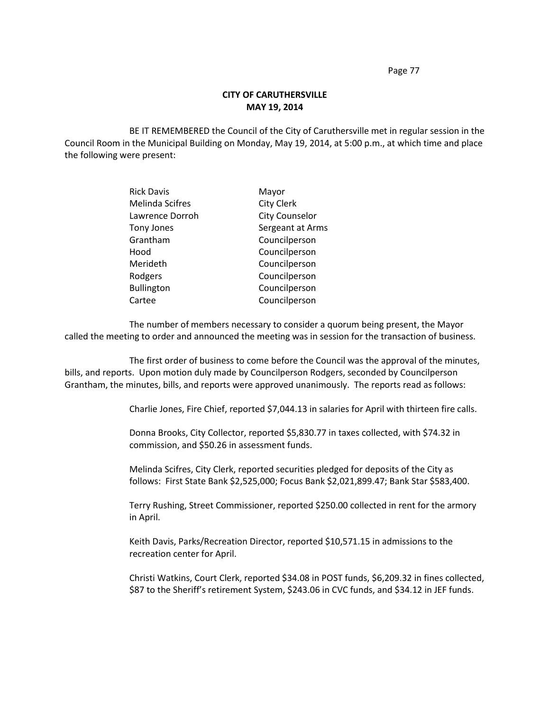Page 77

## **CITY OF CARUTHERSVILLE MAY 19, 2014**

BE IT REMEMBERED the Council of the City of Caruthersville met in regular session in the Council Room in the Municipal Building on Monday, May 19, 2014, at 5:00 p.m., at which time and place the following were present:

| <b>Rick Davis</b>      | Mayor                 |
|------------------------|-----------------------|
| <b>Melinda Scifres</b> | <b>City Clerk</b>     |
| Lawrence Dorroh        | <b>City Counselor</b> |
| <b>Tony Jones</b>      | Sergeant at Arms      |
| Grantham               | Councilperson         |
| Hood                   | Councilperson         |
| Merideth               | Councilperson         |
| Rodgers                | Councilperson         |
| <b>Bullington</b>      | Councilperson         |
| Cartee                 | Councilperson         |

The number of members necessary to consider a quorum being present, the Mayor called the meeting to order and announced the meeting was in session for the transaction of business.

The first order of business to come before the Council was the approval of the minutes, bills, and reports. Upon motion duly made by Councilperson Rodgers, seconded by Councilperson Grantham, the minutes, bills, and reports were approved unanimously. The reports read as follows:

Charlie Jones, Fire Chief, reported \$7,044.13 in salaries for April with thirteen fire calls.

Donna Brooks, City Collector, reported \$5,830.77 in taxes collected, with \$74.32 in commission, and \$50.26 in assessment funds.

Melinda Scifres, City Clerk, reported securities pledged for deposits of the City as follows: First State Bank \$2,525,000; Focus Bank \$2,021,899.47; Bank Star \$583,400.

Terry Rushing, Street Commissioner, reported \$250.00 collected in rent for the armory in April.

Keith Davis, Parks/Recreation Director, reported \$10,571.15 in admissions to the recreation center for April.

Christi Watkins, Court Clerk, reported \$34.08 in POST funds, \$6,209.32 in fines collected, \$87 to the Sheriff's retirement System, \$243.06 in CVC funds, and \$34.12 in JEF funds.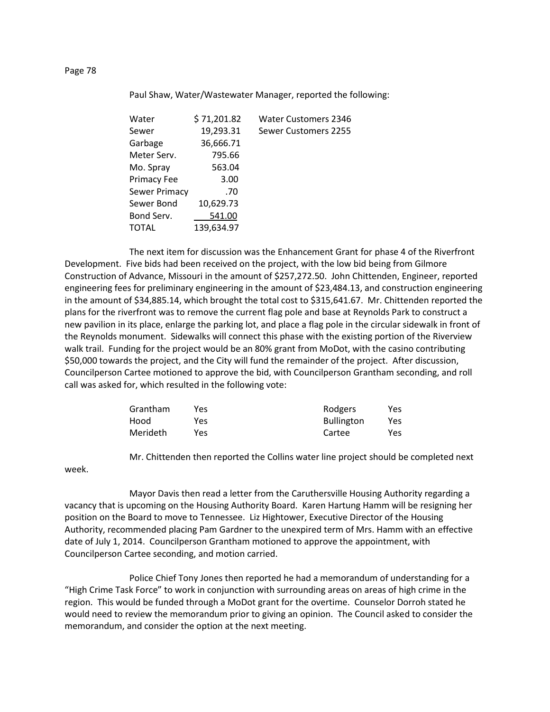### Paul Shaw, Water/Wastewater Manager, reported the following:

| Water         | \$71,201.82 | <b>Water Customers 2346</b> |
|---------------|-------------|-----------------------------|
| Sewer         | 19,293.31   | Sewer Customers 2255        |
| Garbage       | 36,666.71   |                             |
| Meter Serv.   | 795.66      |                             |
| Mo. Spray     | 563.04      |                             |
| Primacy Fee   | 3.00        |                             |
| Sewer Primacy | .70         |                             |
| Sewer Bond    | 10,629.73   |                             |
| Bond Serv.    | 541.00      |                             |
| TOTAL         | 139,634.97  |                             |
|               |             |                             |

The next item for discussion was the Enhancement Grant for phase 4 of the Riverfront Development. Five bids had been received on the project, with the low bid being from Gilmore Construction of Advance, Missouri in the amount of \$257,272.50. John Chittenden, Engineer, reported engineering fees for preliminary engineering in the amount of \$23,484.13, and construction engineering in the amount of \$34,885.14, which brought the total cost to \$315,641.67. Mr. Chittenden reported the plans for the riverfront was to remove the current flag pole and base at Reynolds Park to construct a new pavilion in its place, enlarge the parking lot, and place a flag pole in the circular sidewalk in front of the Reynolds monument. Sidewalks will connect this phase with the existing portion of the Riverview walk trail. Funding for the project would be an 80% grant from MoDot, with the casino contributing \$50,000 towards the project, and the City will fund the remainder of the project. After discussion, Councilperson Cartee motioned to approve the bid, with Councilperson Grantham seconding, and roll call was asked for, which resulted in the following vote:

| Grantham        | Yes. | Rodgers           | Yes |
|-----------------|------|-------------------|-----|
| Hood            | Yes  | <b>Bullington</b> | Yes |
| <b>Merideth</b> | Yes  | Cartee            | Yes |

Mr. Chittenden then reported the Collins water line project should be completed next

week.

Mayor Davis then read a letter from the Caruthersville Housing Authority regarding a vacancy that is upcoming on the Housing Authority Board. Karen Hartung Hamm will be resigning her position on the Board to move to Tennessee. Liz Hightower, Executive Director of the Housing Authority, recommended placing Pam Gardner to the unexpired term of Mrs. Hamm with an effective date of July 1, 2014. Councilperson Grantham motioned to approve the appointment, with Councilperson Cartee seconding, and motion carried.

Police Chief Tony Jones then reported he had a memorandum of understanding for a "High Crime Task Force" to work in conjunction with surrounding areas on areas of high crime in the region. This would be funded through a MoDot grant for the overtime. Counselor Dorroh stated he would need to review the memorandum prior to giving an opinion. The Council asked to consider the memorandum, and consider the option at the next meeting.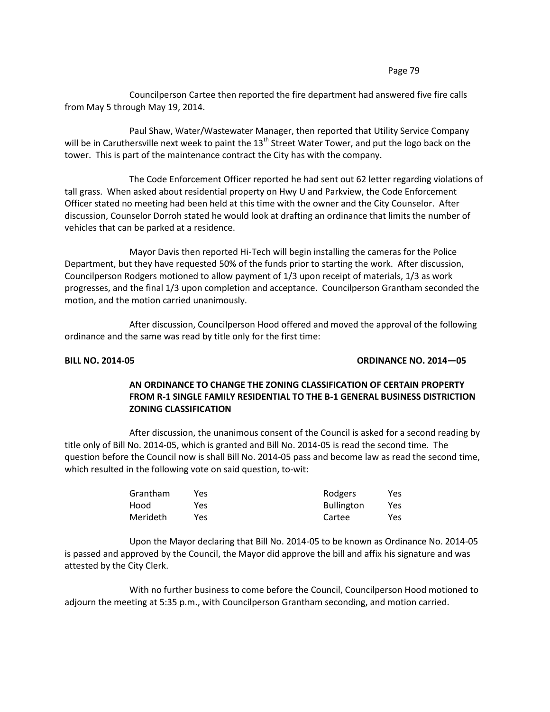### Page 79

Councilperson Cartee then reported the fire department had answered five fire calls from May 5 through May 19, 2014.

Paul Shaw, Water/Wastewater Manager, then reported that Utility Service Company will be in Caruthersville next week to paint the 13<sup>th</sup> Street Water Tower, and put the logo back on the tower. This is part of the maintenance contract the City has with the company.

The Code Enforcement Officer reported he had sent out 62 letter regarding violations of tall grass. When asked about residential property on Hwy U and Parkview, the Code Enforcement Officer stated no meeting had been held at this time with the owner and the City Counselor. After discussion, Counselor Dorroh stated he would look at drafting an ordinance that limits the number of vehicles that can be parked at a residence.

Mayor Davis then reported Hi-Tech will begin installing the cameras for the Police Department, but they have requested 50% of the funds prior to starting the work. After discussion, Councilperson Rodgers motioned to allow payment of 1/3 upon receipt of materials, 1/3 as work progresses, and the final 1/3 upon completion and acceptance. Councilperson Grantham seconded the motion, and the motion carried unanimously.

After discussion, Councilperson Hood offered and moved the approval of the following ordinance and the same was read by title only for the first time:

## **BILL NO. 2014-05 ORDINANCE NO. 2014—05**

# **AN ORDINANCE TO CHANGE THE ZONING CLASSIFICATION OF CERTAIN PROPERTY FROM R-1 SINGLE FAMILY RESIDENTIAL TO THE B-1 GENERAL BUSINESS DISTRICTION ZONING CLASSIFICATION**

After discussion, the unanimous consent of the Council is asked for a second reading by title only of Bill No. 2014-05, which is granted and Bill No. 2014-05 is read the second time. The question before the Council now is shall Bill No. 2014-05 pass and become law as read the second time, which resulted in the following vote on said question, to-wit:

| Grantham        | Yes. | Rodgers           | Yes |
|-----------------|------|-------------------|-----|
| Hood            | Yes  | <b>Bullington</b> | Yes |
| <b>Merideth</b> | Yes. | Cartee            | Yes |

Upon the Mayor declaring that Bill No. 2014-05 to be known as Ordinance No. 2014-05 is passed and approved by the Council, the Mayor did approve the bill and affix his signature and was attested by the City Clerk.

With no further business to come before the Council, Councilperson Hood motioned to adjourn the meeting at 5:35 p.m., with Councilperson Grantham seconding, and motion carried.